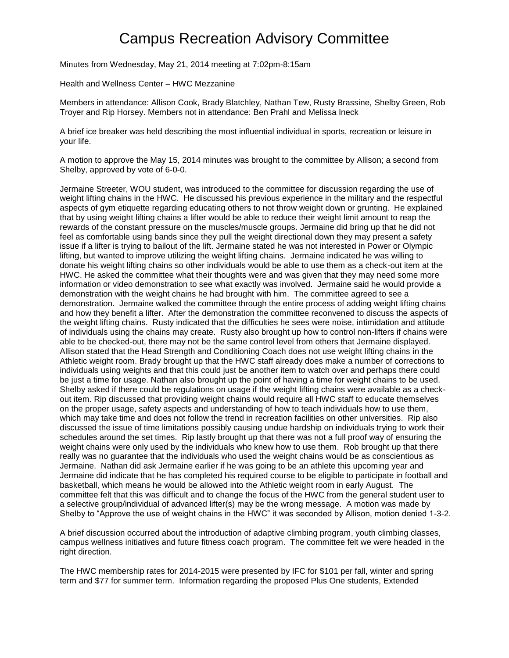## Campus Recreation Advisory Committee

Minutes from Wednesday, May 21, 2014 meeting at 7:02pm-8:15am

Health and Wellness Center – HWC Mezzanine

Members in attendance: Allison Cook, Brady Blatchley, Nathan Tew, Rusty Brassine, Shelby Green, Rob Troyer and Rip Horsey. Members not in attendance: Ben Prahl and Melissa Ineck

A brief ice breaker was held describing the most influential individual in sports, recreation or leisure in your life.

A motion to approve the May 15, 2014 minutes was brought to the committee by Allison; a second from Shelby, approved by vote of 6-0-0.

Jermaine Streeter, WOU student, was introduced to the committee for discussion regarding the use of weight lifting chains in the HWC. He discussed his previous experience in the military and the respectful aspects of gym etiquette regarding educating others to not throw weight down or grunting. He explained that by using weight lifting chains a lifter would be able to reduce their weight limit amount to reap the rewards of the constant pressure on the muscles/muscle groups. Jermaine did bring up that he did not feel as comfortable using bands since they pull the weight directional down they may present a safety issue if a lifter is trying to bailout of the lift. Jermaine stated he was not interested in Power or Olympic lifting, but wanted to improve utilizing the weight lifting chains. Jermaine indicated he was willing to donate his weight lifting chains so other individuals would be able to use them as a check-out item at the HWC. He asked the committee what their thoughts were and was given that they may need some more information or video demonstration to see what exactly was involved. Jermaine said he would provide a demonstration with the weight chains he had brought with him. The committee agreed to see a demonstration. Jermaine walked the committee through the entire process of adding weight lifting chains and how they benefit a lifter. After the demonstration the committee reconvened to discuss the aspects of the weight lifting chains. Rusty indicated that the difficulties he sees were noise, intimidation and attitude of individuals using the chains may create. Rusty also brought up how to control non-lifters if chains were able to be checked-out, there may not be the same control level from others that Jermaine displayed. Allison stated that the Head Strength and Conditioning Coach does not use weight lifting chains in the Athletic weight room. Brady brought up that the HWC staff already does make a number of corrections to individuals using weights and that this could just be another item to watch over and perhaps there could be just a time for usage. Nathan also brought up the point of having a time for weight chains to be used. Shelby asked if there could be regulations on usage if the weight lifting chains were available as a checkout item. Rip discussed that providing weight chains would require all HWC staff to educate themselves on the proper usage, safety aspects and understanding of how to teach individuals how to use them, which may take time and does not follow the trend in recreation facilities on other universities. Rip also discussed the issue of time limitations possibly causing undue hardship on individuals trying to work their schedules around the set times. Rip lastly brought up that there was not a full proof way of ensuring the weight chains were only used by the individuals who knew how to use them. Rob brought up that there really was no guarantee that the individuals who used the weight chains would be as conscientious as Jermaine. Nathan did ask Jermaine earlier if he was going to be an athlete this upcoming year and Jermaine did indicate that he has completed his required course to be eligible to participate in football and basketball, which means he would be allowed into the Athletic weight room in early August. The committee felt that this was difficult and to change the focus of the HWC from the general student user to a selective group/individual of advanced lifter(s) may be the wrong message. A motion was made by Shelby to "Approve the use of weight chains in the HWC" it was seconded by Allison, motion denied 1-3-2.

A brief discussion occurred about the introduction of adaptive climbing program, youth climbing classes, campus wellness initiatives and future fitness coach program. The committee felt we were headed in the right direction.

The HWC membership rates for 2014-2015 were presented by IFC for \$101 per fall, winter and spring term and \$77 for summer term. Information regarding the proposed Plus One students, Extended